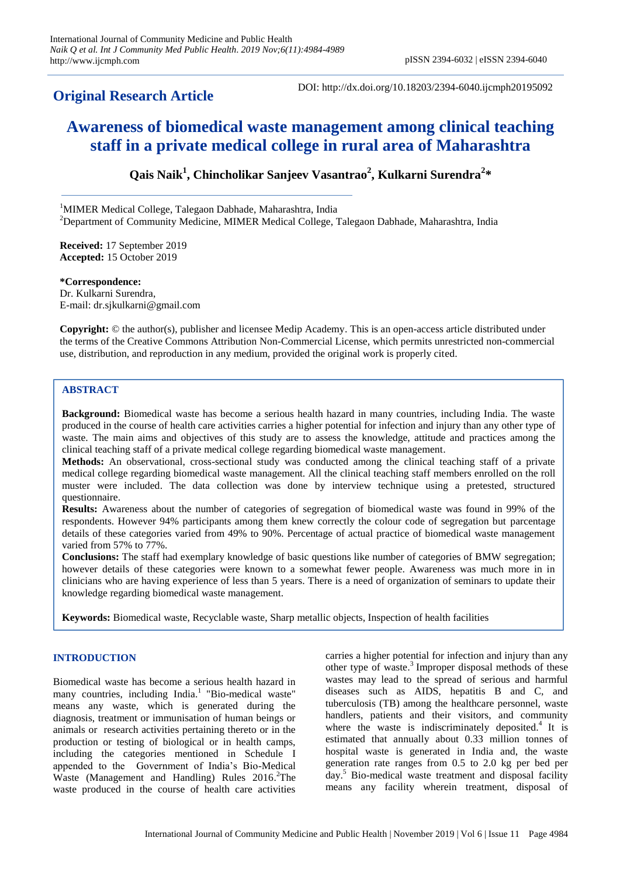# **Original Research Article**

DOI: http://dx.doi.org/10.18203/2394-6040.ijcmph20195092

# **Awareness of biomedical waste management among clinical teaching staff in a private medical college in rural area of Maharashtra**

**Qais Naik<sup>1</sup> , Chincholikar Sanjeev Vasantrao<sup>2</sup> , Kulkarni Surendra<sup>2</sup> \***

<sup>1</sup>MIMER Medical College, Talegaon Dabhade, Maharashtra, India <sup>2</sup>Department of Community Medicine, MIMER Medical College, Talegaon Dabhade, Maharashtra, India

**Received:** 17 September 2019 **Accepted:** 15 October 2019

**\*Correspondence:** Dr. Kulkarni Surendra, E-mail: dr.sjkulkarni@gmail.com

**Copyright:** © the author(s), publisher and licensee Medip Academy. This is an open-access article distributed under the terms of the Creative Commons Attribution Non-Commercial License, which permits unrestricted non-commercial use, distribution, and reproduction in any medium, provided the original work is properly cited.

# **ABSTRACT**

**Background:** Biomedical waste has become a serious health hazard in many countries, including India. The waste produced in the course of health care activities carries a higher potential for infection and injury than any other type of waste. The main aims and objectives of this study are to assess the knowledge, attitude and practices among the clinical teaching staff of a private medical college regarding biomedical waste management.

**Methods:** An observational, cross-sectional study was conducted among the clinical teaching staff of a private medical college regarding biomedical waste management. All the clinical teaching staff members enrolled on the roll muster were included. The data collection was done by interview technique using a pretested, structured questionnaire.

**Results:** Awareness about the number of categories of segregation of biomedical waste was found in 99% of the respondents. However 94% participants among them knew correctly the colour code of segregation but parcentage details of these categories varied from 49% to 90%. Percentage of actual practice of biomedical waste management varied from 57% to 77%.

**Conclusions:** The staff had exemplary knowledge of basic questions like number of categories of BMW segregation; however details of these categories were known to a somewhat fewer people. Awareness was much more in in clinicians who are having experience of less than 5 years. There is a need of organization of seminars to update their knowledge regarding biomedical waste management.

**Keywords:** Biomedical waste, Recyclable waste, Sharp metallic objects, Inspection of health facilities

# **INTRODUCTION**

Biomedical waste has become a serious health hazard in many countries, including India. <sup>1</sup>"Bio-medical waste" means any waste, which is generated during the diagnosis, treatment or immunisation of human beings or animals or research activities pertaining thereto or in the production or testing of biological or in health camps, including the categories mentioned in Schedule I appended to the Government of India's Bio-Medical Waste (Management and Handling) Rules 2016.<sup>2</sup>The waste produced in the course of health care activities

carries a higher potential for infection and injury than any other type of waste. 3 Improper disposal methods of these wastes may lead to the spread of serious and harmful diseases such as AIDS, hepatitis B and C, and tuberculosis (TB) among the healthcare personnel, waste handlers, patients and their visitors, and community where the waste is indiscriminately deposited.<sup>4</sup> It is estimated that annually about 0.33 million tonnes of hospital waste is generated in India and, the waste generation rate ranges from 0.5 to 2.0 kg per bed per day. <sup>5</sup> Bio-medical waste treatment and disposal facility means any facility wherein treatment, disposal of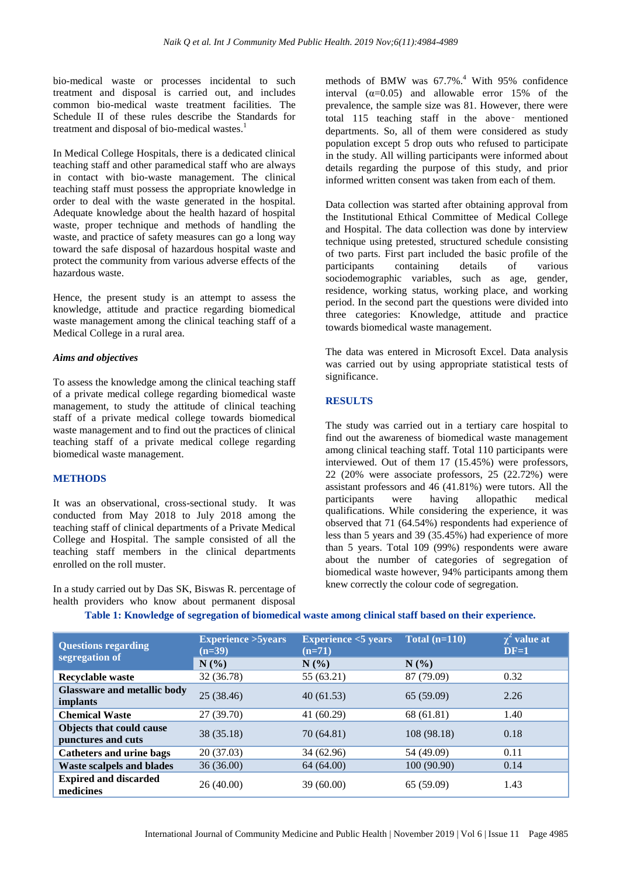bio-medical waste or processes incidental to such treatment and disposal is carried out, and includes common bio-medical waste treatment facilities. The Schedule II of these rules describe the Standards for treatment and disposal of bio-medical wastes.<sup>1</sup>

In Medical College Hospitals, there is a dedicated clinical teaching staff and other paramedical staff who are always in contact with bio-waste management. The clinical teaching staff must possess the appropriate knowledge in order to deal with the waste generated in the hospital. Adequate knowledge about the health hazard of hospital waste, proper technique and methods of handling the waste, and practice of safety measures can go a long way toward the safe disposal of hazardous hospital waste and protect the community from various adverse effects of the hazardous waste.

Hence, the present study is an attempt to assess the knowledge, attitude and practice regarding biomedical waste management among the clinical teaching staff of a Medical College in a rural area.

#### *Aims and objectives*

To assess the knowledge among the clinical teaching staff of a private medical college regarding biomedical waste management, to study the attitude of clinical teaching staff of a private medical college towards biomedical waste management and to find out the practices of clinical teaching staff of a private medical college regarding biomedical waste management.

#### **METHODS**

It was an observational, cross-sectional study. It was conducted from May 2018 to July 2018 among the teaching staff of clinical departments of a Private Medical College and Hospital. The sample consisted of all the teaching staff members in the clinical departments enrolled on the roll muster.

In a study carried out by Das SK, Biswas R. percentage of health providers who know about permanent disposal

methods of BMW was 67.7%. <sup>4</sup> With 95% confidence interval  $(\alpha=0.05)$  and allowable error 15% of the prevalence, the sample size was 81. However, there were total 115 teaching staff in the above‑ mentioned departments. So, all of them were considered as study population except 5 drop outs who refused to participate in the study. All willing participants were informed about details regarding the purpose of this study, and prior informed written consent was taken from each of them.

Data collection was started after obtaining approval from the Institutional Ethical Committee of Medical College and Hospital. The data collection was done by interview technique using pretested, structured schedule consisting of two parts. First part included the basic profile of the participants containing details of various sociodemographic variables, such as age, gender, residence, working status, working place, and working period. In the second part the questions were divided into three categories: Knowledge, attitude and practice towards biomedical waste management.

The data was entered in Microsoft Excel. Data analysis was carried out by using appropriate statistical tests of significance.

#### **RESULTS**

The study was carried out in a tertiary care hospital to find out the awareness of biomedical waste management among clinical teaching staff. Total 110 participants were interviewed. Out of them 17 (15.45%) were professors, 22 (20% were associate professors, 25 (22.72%) were assistant professors and 46 (41.81%) were tutors. All the participants were having allopathic medical qualifications. While considering the experience, it was observed that 71 (64.54%) respondents had experience of less than 5 years and 39 (35.45%) had experience of more than 5 years. Total 109 (99%) respondents were aware about the number of categories of segregation of biomedical waste however, 94% participants among them knew correctly the colour code of segregation.

| <b>Questions regarding</b><br>segregation of          | <b>Experience &gt; 5years</b><br>$(n=39)$ | <b>Experience &lt;5 years</b><br>$(n=71)$ | Total $(n=110)$ | $\chi^2$ value at<br>$DF=1$ |
|-------------------------------------------------------|-------------------------------------------|-------------------------------------------|-----------------|-----------------------------|
|                                                       | N(%)                                      | N(%                                       | N(%)            |                             |
| <b>Recyclable waste</b>                               | 32 (36.78)                                | 55 (63.21)                                | 87 (79.09)      | 0.32                        |
| <b>Glassware and metallic body</b><br><i>implants</i> | 25(38.46)                                 | 40(61.53)                                 | 65 (59.09)      | 2.26                        |
| <b>Chemical Waste</b>                                 | 27(39.70)                                 | 41(60.29)                                 | 68 (61.81)      | 1.40                        |
| <b>Objects that could cause</b><br>punctures and cuts | 38(35.18)                                 | 70 (64.81)                                | 108 (98.18)     | 0.18                        |
| <b>Catheters and urine bags</b>                       | 20(37.03)                                 | 34 (62.96)                                | 54 (49.09)      | 0.11                        |
| <b>Waste scalpels and blades</b>                      | 36(36.00)                                 | 64 (64.00)                                | 100 (90.90)     | 0.14                        |
| <b>Expired and discarded</b><br>medicines             | 26(40.00)                                 | 39 (60.00)                                | 65 (59.09)      | 1.43                        |

# **Table 1: Knowledge of segregation of biomedical waste among clinical staff based on their experience.**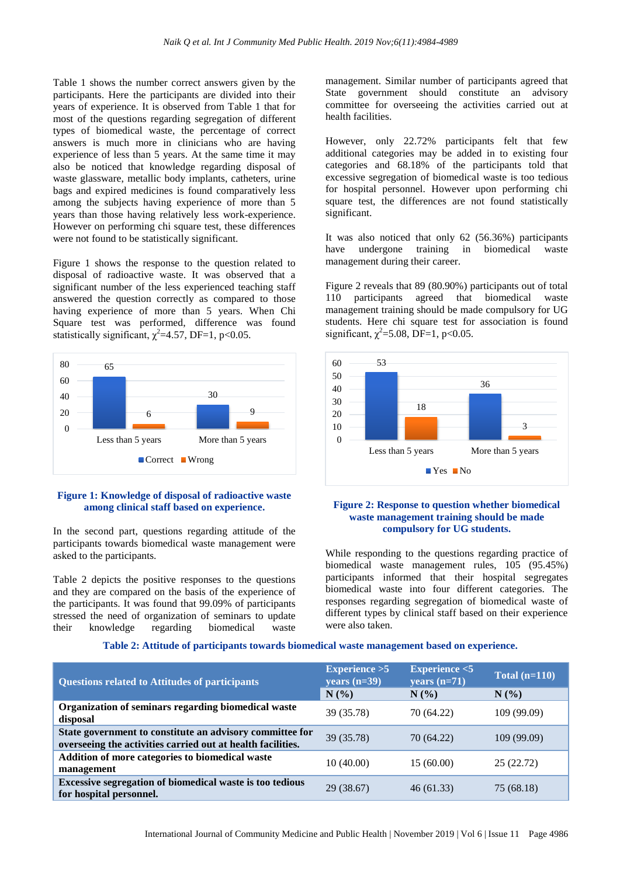Table 1 shows the number correct answers given by the participants. Here the participants are divided into their years of experience. It is observed from Table 1 that for most of the questions regarding segregation of different types of biomedical waste, the percentage of correct answers is much more in clinicians who are having experience of less than 5 years. At the same time it may also be noticed that knowledge regarding disposal of waste glassware, metallic body implants, catheters, urine bags and expired medicines is found comparatively less among the subjects having experience of more than 5 years than those having relatively less work-experience. However on performing chi square test, these differences were not found to be statistically significant.

Figure 1 shows the response to the question related to disposal of radioactive waste. It was observed that a significant number of the less experienced teaching staff answered the question correctly as compared to those having experience of more than 5 years. When Chi Square test was performed, difference was found statistically significant,  $\chi^2$ =4.57, DF=1, p<0.05.



# **Figure 1: Knowledge of disposal of radioactive waste among clinical staff based on experience.**

In the second part, questions regarding attitude of the participants towards biomedical waste management were asked to the participants.

Table 2 depicts the positive responses to the questions and they are compared on the basis of the experience of the participants. It was found that 99.09% of participants stressed the need of organization of seminars to update their knowledge regarding biomedical waste

management. Similar number of participants agreed that State government should constitute an advisory committee for overseeing the activities carried out at health facilities.

However, only 22.72% participants felt that few additional categories may be added in to existing four categories and 68.18% of the participants told that excessive segregation of biomedical waste is too tedious for hospital personnel. However upon performing chi square test, the differences are not found statistically significant.

It was also noticed that only 62 (56.36%) participants have undergone training in biomedical waste management during their career.

Figure 2 reveals that 89 (80.90%) participants out of total 110 participants agreed that biomedical waste management training should be made compulsory for UG students. Here chi square test for association is found significant,  $\chi^2$ =5.08, DF=1, p<0.05.



#### **Figure 2: Response to question whether biomedical waste management training should be made compulsory for UG students.**

While responding to the questions regarding practice of biomedical waste management rules, 105 (95.45%) participants informed that their hospital segregates biomedical waste into four different categories. The responses regarding segregation of biomedical waste of different types by clinical staff based on their experience were also taken.

| <b>Questions related to Attitudes of participants</b>                                                                   | Experience $>5$<br>years $(n=39)$ | Experience $<$ 5<br>years $(n=71)$ | Total $(n=110)$ |
|-------------------------------------------------------------------------------------------------------------------------|-----------------------------------|------------------------------------|-----------------|
|                                                                                                                         | N(%                               | $N(\%)$                            | $N(\%)$         |
| Organization of seminars regarding biomedical waste<br>disposal                                                         | 39 (35.78)                        | 70 (64.22)                         | 109 (99.09)     |
| State government to constitute an advisory committee for<br>overseeing the activities carried out at health facilities. | 39 (35.78)                        | 70 (64.22)                         | 109 (99.09)     |
| Addition of more categories to biomedical waste<br>management                                                           | 10(40.00)                         | 15(60.00)                          | 25 (22.72)      |
| Excessive segregation of biomedical waste is too tedious<br>for hospital personnel.                                     | 29 (38.67)                        | 46(61.33)                          | 75 (68.18)      |

**Table 2: Attitude of participants towards biomedical waste management based on experience.**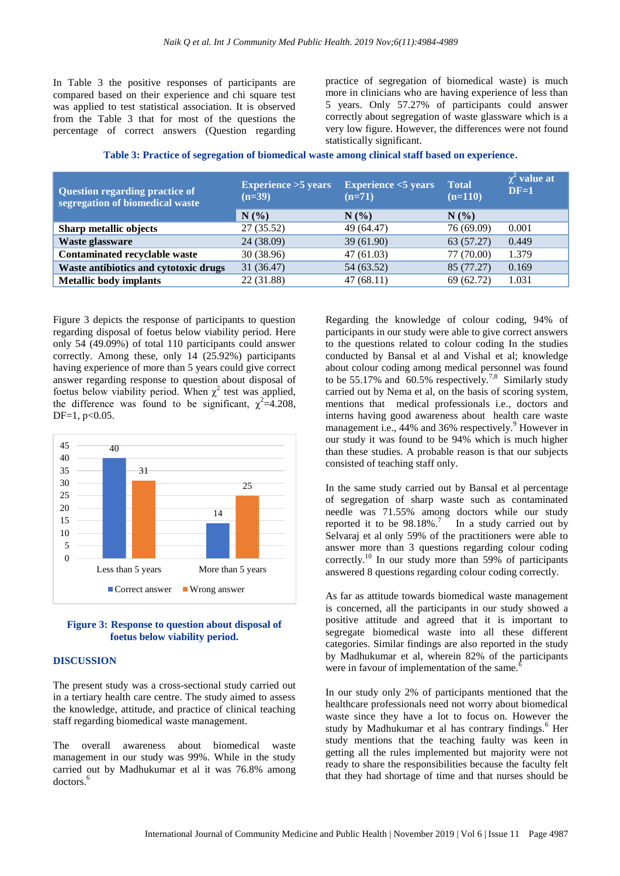In Table 3 the positive responses of participants are compared based on their experience and chi square test was applied to test statistical association. It is observed from the Table 3 that for most of the questions the percentage of correct answers (Question regarding

practice of segregation of biomedical waste) is much more in clinicians who are having experience of less than 5 years. Only 57.27% of participants could answer correctly about segregation of waste glassware which is a very low figure. However, the differences were not found statistically significant.

| Table 3: Practice of segregation of biomedical waste among clinical staff based on experience. |  |  |  |
|------------------------------------------------------------------------------------------------|--|--|--|
|                                                                                                |  |  |  |

| Question regarding practice of<br>segregation of biomedical waste | <b>Experience &gt;5 years</b><br>$(n=39)$ | <b>Experience &lt;5 years</b><br>$(n=71)$ | <b>Total</b><br>$(n=110)$ | $\chi^2$ value at<br>$DF=1$ |
|-------------------------------------------------------------------|-------------------------------------------|-------------------------------------------|---------------------------|-----------------------------|
|                                                                   | N(%                                       | $N(\%)$                                   | $N(\%)$                   |                             |
| Sharp metallic objects                                            | 27(35.52)                                 | 49 (64.47)                                | 76 (69.09)                | 0.001                       |
| Waste glassware                                                   | 24 (38.09)                                | 39(61.90)                                 | 63 (57.27)                | 0.449                       |
| Contaminated recyclable waste                                     | 30(38.96)                                 | 47(61.03)                                 | 77 (70.00)                | 1.379                       |
| Waste antibiotics and cytotoxic drugs                             | 31(36.47)                                 | 54 (63.52)                                | 85 (77.27)                | 0.169                       |
| <b>Metallic body implants</b>                                     | 22 (31.88)                                | 47(68.11)                                 | 69 (62.72)                | 1.031                       |

Figure 3 depicts the response of participants to question regarding disposal of foetus below viability period. Here only 54 (49.09%) of total 110 participants could answer correctly. Among these, only 14 (25.92%) participants having experience of more than 5 years could give correct answer regarding response to question about disposal of foetus below viability period. When  $\chi^2$  test was applied, the difference was found to be significant,  $\chi^2 = 4.208$ ,  $DF=1, p<0.05$ .



#### **Figure 3: Response to question about disposal of foetus below viability period.**

#### **DISCUSSION**

The present study was a cross-sectional study carried out in a tertiary health care centre. The study aimed to assess the knowledge, attitude, and practice of clinical teaching staff regarding biomedical waste management.

The overall awareness about biomedical waste management in our study was 99%. While in the study carried out by Madhukumar et al it was 76.8% among doctors. 6

Regarding the knowledge of colour coding, 94% of participants in our study were able to give correct answers to the questions related to colour coding In the studies conducted by Bansal et al and Vishal et al; knowledge about colour coding among medical personnel was found to be 55.17% and  $\overline{60.5\%}$  respectively.<sup>7,8</sup> Similarly study carried out by Nema et al, on the basis of scoring system, mentions that medical professionals i.e., doctors and interns having good awareness about health care waste management i.e., 44% and 36% respectively.<sup>9</sup> However in our study it was found to be 94% which is much higher than these studies. A probable reason is that our subjects consisted of teaching staff only.

In the same study carried out by Bansal et al percentage of segregation of sharp waste such as contaminated needle was 71.55% among doctors while our study reported it to be  $98.18\%$ .<sup>7</sup> In a study carried out by Selvaraj et al only 59% of the practitioners were able to answer more than 3 questions regarding colour coding correctly.<sup>10</sup> In our study more than 59% of participants answered 8 questions regarding colour coding correctly.

As far as attitude towards biomedical waste management is concerned, all the participants in our study showed a positive attitude and agreed that it is important to segregate biomedical waste into all these different categories. Similar findings are also reported in the study by Madhukumar et al, wherein 82% of the participants were in favour of implementation of the same.<sup>6</sup>

In our study only 2% of participants mentioned that the healthcare professionals need not worry about biomedical waste since they have a lot to focus on. However the study by Madhukumar et al has contrary findings.<sup>6</sup> Her study mentions that the teaching faulty was keen in getting all the rules implemented but majority were not ready to share the responsibilities because the faculty felt that they had shortage of time and that nurses should be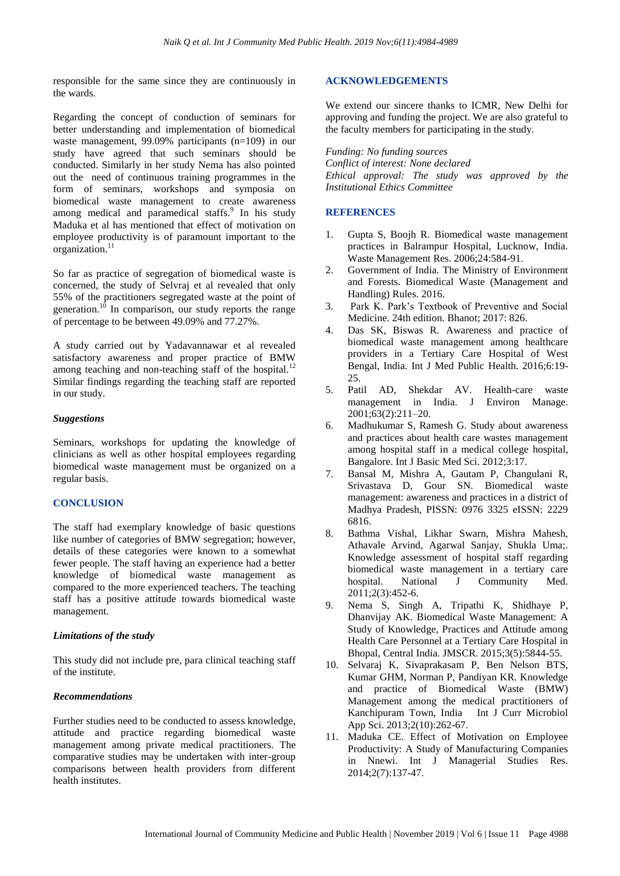responsible for the same since they are continuously in the wards.

Regarding the concept of conduction of seminars for better understanding and implementation of biomedical waste management, 99.09% participants (n=109) in our study have agreed that such seminars should be conducted. Similarly in her study Nema has also pointed out the need of continuous training programmes in the form of seminars, workshops and symposia on biomedical waste management to create awareness among medical and paramedical staffs.<sup>9</sup> In his study Maduka et al has mentioned that effect of motivation on employee productivity is of paramount important to the organization.<sup>11</sup>

So far as practice of segregation of biomedical waste is concerned, the study of Selvraj et al revealed that only 55% of the practitioners segregated waste at the point of generation.<sup>10</sup> In comparison, our study reports the range of percentage to be between 49.09% and 77.27%.

A study carried out by Yadavannawar et al revealed satisfactory awareness and proper practice of BMW among teaching and non-teaching staff of the hospital.<sup>12</sup> Similar findings regarding the teaching staff are reported in our study.

#### *Suggestions*

Seminars, workshops for updating the knowledge of clinicians as well as other hospital employees regarding biomedical waste management must be organized on a regular basis.

# **CONCLUSION**

The staff had exemplary knowledge of basic questions like number of categories of BMW segregation; however, details of these categories were known to a somewhat fewer people. The staff having an experience had a better knowledge of biomedical waste management as compared to the more experienced teachers. The teaching staff has a positive attitude towards biomedical waste management.

# *Limitations of the study*

This study did not include pre, para clinical teaching staff of the institute.

# *Recommendations*

Further studies need to be conducted to assess knowledge, attitude and practice regarding biomedical waste management among private medical practitioners. The comparative studies may be undertaken with inter-group comparisons between health providers from different health institutes.

# **ACKNOWLEDGEMENTS**

We extend our sincere thanks to ICMR, New Delhi for approving and funding the project. We are also grateful to the faculty members for participating in the study.

*Funding: No funding sources Conflict of interest: None declared Ethical approval: The study was approved by the Institutional Ethics Committee*

# **REFERENCES**

- 1. Gupta S, Boojh R. Biomedical waste management practices in Balrampur Hospital, Lucknow, India. Waste Management Res. 2006;24:584-91.
- 2. Government of India. The Ministry of Environment and Forests. Biomedical Waste (Management and Handling) Rules. 2016.
- 3. Park K. Park's Textbook of Preventive and Social Medicine. 24th edition. Bhanot; 2017: 826.
- 4. Das SK, Biswas R. Awareness and practice of biomedical waste management among healthcare providers in a Tertiary Care Hospital of West Bengal, India. Int J Med Public Health. 2016;6:19- 25.
- 5. Patil AD, Shekdar AV. Health-care waste management in India. J Environ Manage. 2001;63(2):211–20.
- 6. Madhukumar S, Ramesh G. Study about awareness and practices about health care wastes management among hospital staff in a medical college hospital, Bangalore. Int J Basic Med Sci. 2012;3:17.
- 7. Bansal M, Mishra A, Gautam P, Changulani R, Srivastava D, Gour SN. Biomedical waste management: awareness and practices in a district of Madhya Pradesh, PISSN: 0976 3325 eISSN: 2229 6816.
- 8. Bathma Vishal, Likhar Swarn, Mishra Mahesh, Athavale Arvind, Agarwal Sanjay, Shukla Uma;. Knowledge assessment of hospital staff regarding biomedical waste management in a tertiary care hospital. National J Community Med. 2011;2(3):452-6.
- 9. Nema S, Singh A, Tripathi K, Shidhaye P, Dhanvijay AK. Biomedical Waste Management: A Study of Knowledge, Practices and Attitude among Health Care Personnel at a Tertiary Care Hospital in Bhopal, Central India. JMSCR. 2015;3(5):5844-55.
- 10. Selvaraj K, Sivaprakasam P, Ben Nelson BTS, Kumar GHM, Norman P, Pandiyan KR. Knowledge and practice of Biomedical Waste (BMW) Management among the medical practitioners of Kanchipuram Town, India Int J Curr Microbiol App Sci. 2013;2(10):262-67.
- 11. Maduka CE. Effect of Motivation on Employee Productivity: A Study of Manufacturing Companies in Nnewi. Int J Managerial Studies Res. 2014;2(7):137-47.